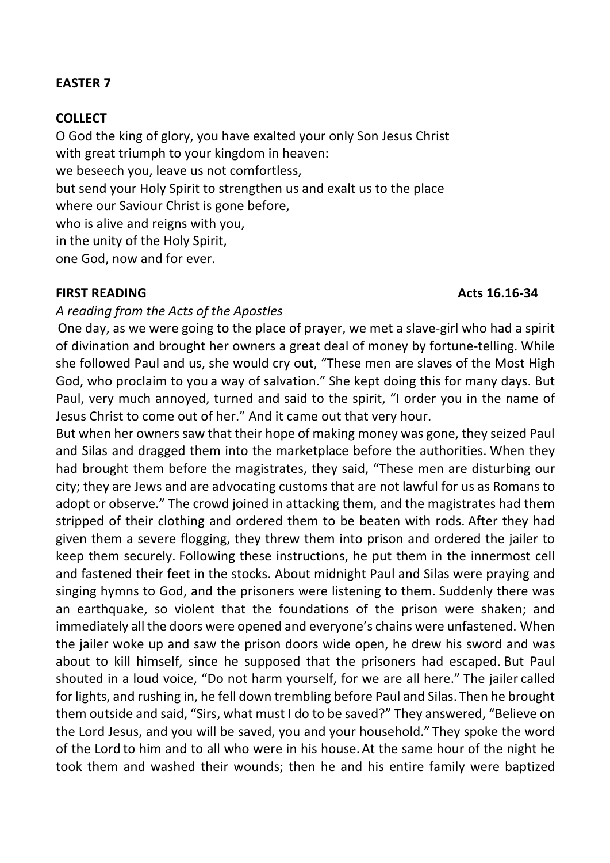### **EASTER 7**

### **COLLECT**

O God the king of glory, you have exalted your only Son Jesus Christ with great triumph to your kingdom in heaven: we beseech you, leave us not comfortless, but send your Holy Spirit to strengthen us and exalt us to the place where our Saviour Christ is gone before, who is alive and reigns with you, in the unity of the Holy Spirit, one God, now and for ever.

#### **FIRST READING Acts 16.16-34**

*A reading from the Acts of the Apostles*

One day, as we were going to the place of prayer, we met a slave-girl who had a spirit of divination and brought her owners a great deal of money by fortune-telling. While she followed Paul and us, she would cry out, "These men are slaves of the Most High God, who proclaim to you a way of salvation." She kept doing this for many days. But Paul, very much annoyed, turned and said to the spirit, "I order you in the name of Jesus Christ to come out of her." And it came out that very hour.

But when her owners saw that their hope of making money was gone, they seized Paul and Silas and dragged them into the marketplace before the authorities. When they had brought them before the magistrates, they said, "These men are disturbing our city; they are Jews and are advocating customs that are not lawful for us as Romans to adopt or observe." The crowd joined in attacking them, and the magistrates had them stripped of their clothing and ordered them to be beaten with rods. After they had given them a severe flogging, they threw them into prison and ordered the jailer to keep them securely. Following these instructions, he put them in the innermost cell and fastened their feet in the stocks. About midnight Paul and Silas were praying and singing hymns to God, and the prisoners were listening to them. Suddenly there was an earthquake, so violent that the foundations of the prison were shaken; and immediately all the doors were opened and everyone's chains were unfastened. When the jailer woke up and saw the prison doors wide open, he drew his sword and was about to kill himself, since he supposed that the prisoners had escaped. But Paul shouted in a loud voice, "Do not harm yourself, for we are all here." The jailer called for lights, and rushing in, he fell down trembling before Paul and Silas. Then he brought them outside and said, "Sirs, what must I do to be saved?" They answered, "Believe on the Lord Jesus, and you will be saved, you and your household." They spoke the word of the Lord to him and to all who were in his house.At the same hour of the night he took them and washed their wounds; then he and his entire family were baptized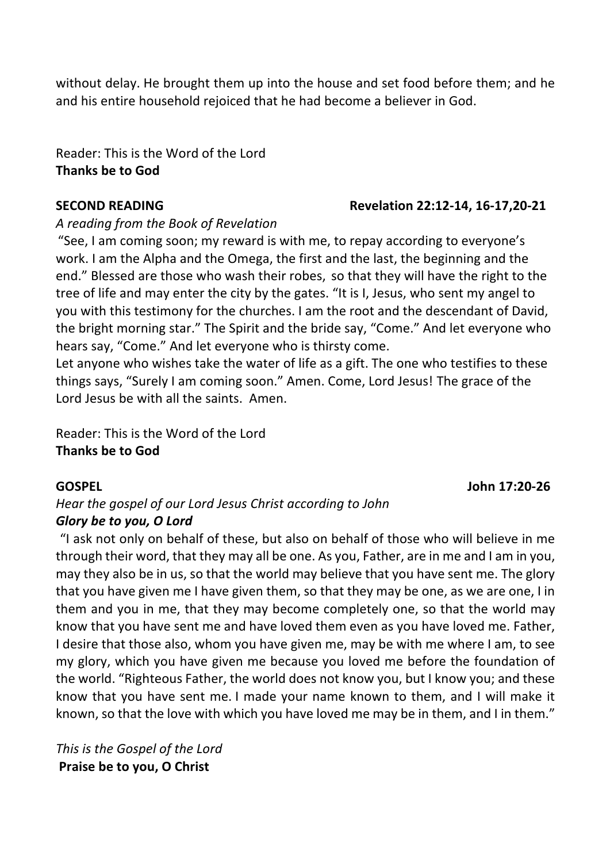without delay. He brought them up into the house and set food before them; and he and his entire household rejoiced that he had become a believer in God.

# Reader: This is the Word of the Lord **Thanks be to God**

### *A reading from the Book of Revelation*

"See, I am coming soon; my reward is with me, to repay according to everyone's work. I am the Alpha and the Omega, the first and the last, the beginning and the end." Blessed are those who wash their robes, so that they will have the right to the tree of life and may enter the city by the gates. "It is I, Jesus, who sent my angel to you with this testimony for the churches. I am the root and the descendant of David, the bright morning star." The Spirit and the bride say, "Come." And let everyone who hears say, "Come." And let everyone who is thirsty come.

Let anyone who wishes take the water of life as a gift. The one who testifies to these things says, "Surely I am coming soon." Amen. Come, Lord Jesus! The grace of the Lord Jesus be with all the saints. Amen.

Reader: This is the Word of the Lord **Thanks be to God**

# *Hear the gospel of our Lord Jesus Christ according to John Glory be to you, O Lord*

"I ask not only on behalf of these, but also on behalf of those who will believe in me through their word, that they may all be one. As you, Father, are in me and I am in you, may they also be in us, so that the world may believe that you have sent me. The glory that you have given me I have given them, so that they may be one, as we are one, I in them and you in me, that they may become completely one, so that the world may know that you have sent me and have loved them even as you have loved me. Father, I desire that those also, whom you have given me, may be with me where I am, to see my glory, which you have given me because you loved me before the foundation of the world. "Righteous Father, the world does not know you, but I know you; and these know that you have sent me. I made your name known to them, and I will make it known, so that the love with which you have loved me may be in them, and I in them."

*This is the Gospel of the Lord*  **Praise be to you, O Christ**

#### **SECOND READING Revelation 22:12-14, 16-17,20-21**

### **GOSPEL John 17:20-26**